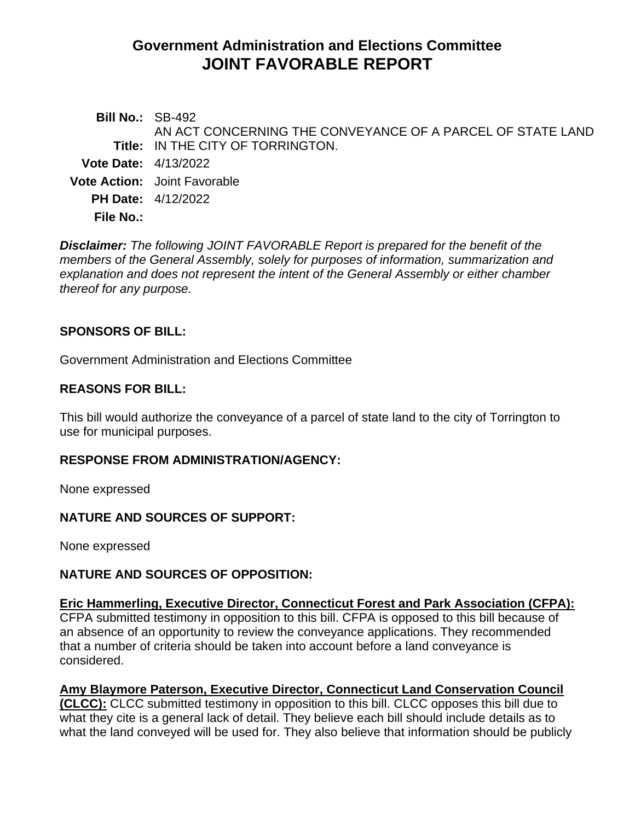# **Government Administration and Elections Committee JOINT FAVORABLE REPORT**

**Bill No.:** SB-492 **Title:** IN THE CITY OF TORRINGTON. AN ACT CONCERNING THE CONVEYANCE OF A PARCEL OF STATE LAND **Vote Date:** 4/13/2022 **Vote Action:** Joint Favorable **PH Date:** 4/12/2022 **File No.:**

*Disclaimer: The following JOINT FAVORABLE Report is prepared for the benefit of the members of the General Assembly, solely for purposes of information, summarization and explanation and does not represent the intent of the General Assembly or either chamber thereof for any purpose.*

## **SPONSORS OF BILL:**

Government Administration and Elections Committee

## **REASONS FOR BILL:**

This bill would authorize the conveyance of a parcel of state land to the city of Torrington to use for municipal purposes.

## **RESPONSE FROM ADMINISTRATION/AGENCY:**

None expressed

## **NATURE AND SOURCES OF SUPPORT:**

None expressed

## **NATURE AND SOURCES OF OPPOSITION:**

## **Eric Hammerling, Executive Director, Connecticut Forest and Park Association (CFPA):**

CFPA submitted testimony in opposition to this bill. CFPA is opposed to this bill because of an absence of an opportunity to review the conveyance applications. They recommended that a number of criteria should be taken into account before a land conveyance is considered.

## **Amy Blaymore Paterson, Executive Director, Connecticut Land Conservation Council**

**(CLCC):** CLCC submitted testimony in opposition to this bill. CLCC opposes this bill due to what they cite is a general lack of detail. They believe each bill should include details as to what the land conveyed will be used for. They also believe that information should be publicly